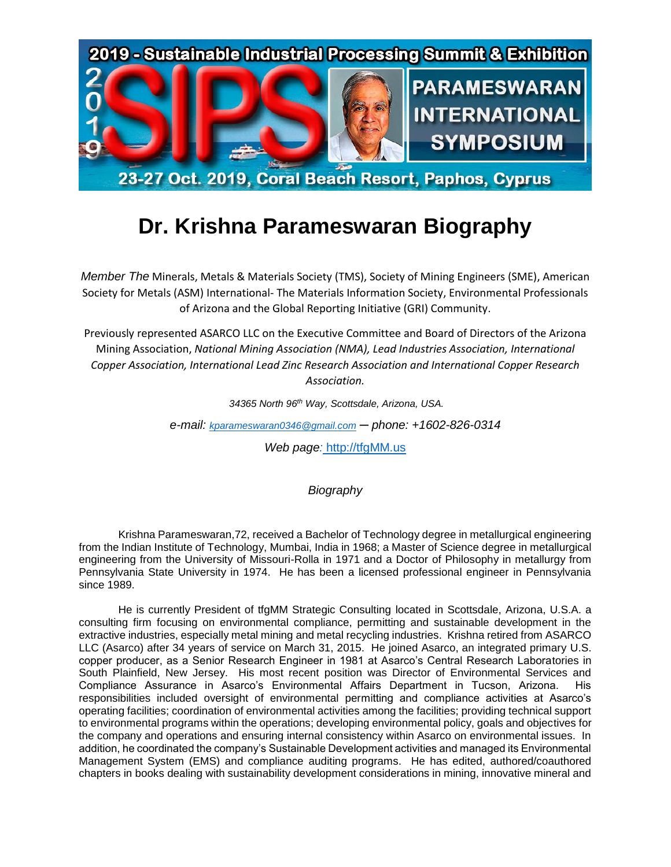

## **Dr. Krishna Parameswaran Biography**

*Member The* Minerals, Metals & Materials Society (TMS), Society of Mining Engineers (SME), American Society for Metals (ASM) International- The Materials Information Society, Environmental Professionals of Arizona and the Global Reporting Initiative (GRI) Community.

Previously represented ASARCO LLC on the Executive Committee and Board of Directors of the Arizona Mining Association, *National Mining Association (NMA), Lead Industries Association, International Copper Association, International Lead Zinc Research Association and International Copper Research Association.*

*34365 North 96th Way, Scottsdale, Arizona, USA.*

*e-mail: [kparameswaran0346@gmail.com](kparameswaran0346@gmail.com%20)* ─ *phone: +1602-826-0314*

*Web page:* [http://tfgMM.us](http://tfgmm.us/)

*Biography*

Krishna Parameswaran,72, received a Bachelor of Technology degree in metallurgical engineering from the Indian Institute of Technology, Mumbai, India in 1968; a Master of Science degree in metallurgical engineering from the University of Missouri-Rolla in 1971 and a Doctor of Philosophy in metallurgy from Pennsylvania State University in 1974. He has been a licensed professional engineer in Pennsylvania since 1989.

He is currently President of tfgMM Strategic Consulting located in Scottsdale, Arizona, U.S.A. a consulting firm focusing on environmental compliance, permitting and sustainable development in the extractive industries, especially metal mining and metal recycling industries. Krishna retired from ASARCO LLC (Asarco) after 34 years of service on March 31, 2015. He joined Asarco, an integrated primary U.S. copper producer, as a Senior Research Engineer in 1981 at Asarco's Central Research Laboratories in South Plainfield, New Jersey. His most recent position was Director of Environmental Services and Compliance Assurance in Asarco's Environmental Affairs Department in Tucson, Arizona. His responsibilities included oversight of environmental permitting and compliance activities at Asarco's operating facilities; coordination of environmental activities among the facilities; providing technical support to environmental programs within the operations; developing environmental policy, goals and objectives for the company and operations and ensuring internal consistency within Asarco on environmental issues. In addition, he coordinated the company's Sustainable Development activities and managed its Environmental Management System (EMS) and compliance auditing programs. He has edited, authored/coauthored chapters in books dealing with sustainability development considerations in mining, innovative mineral and